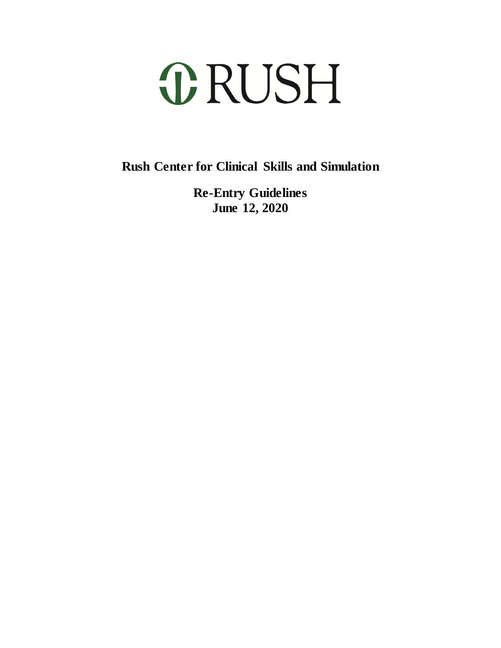# **ORUSH**

**Rush Center for Clinical Skills and Simulation**

**Re-Entry Guidelines June 12, 2020**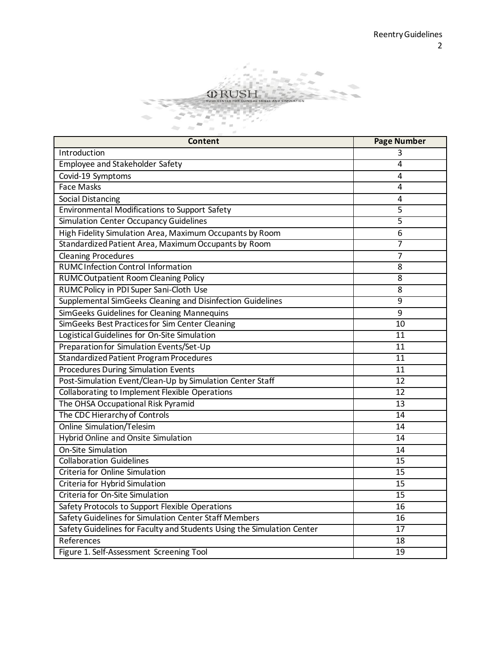

| <b>Content</b>                                                         | <b>Page Number</b> |
|------------------------------------------------------------------------|--------------------|
| Introduction                                                           |                    |
| Employee and Stakeholder Safety                                        | 4                  |
| Covid-19 Symptoms                                                      | 4                  |
| <b>Face Masks</b>                                                      | 4                  |
| <b>Social Distancing</b>                                               | 4                  |
| <b>Environmental Modifications to Support Safety</b>                   | 5                  |
| <b>Simulation Center Occupancy Guidelines</b>                          | 5                  |
| High Fidelity Simulation Area, Maximum Occupants by Room               | 6                  |
| Standardized Patient Area, Maximum Occupants by Room                   | 7                  |
| <b>Cleaning Procedures</b>                                             | 7                  |
| <b>RUMCInfection Control Information</b>                               | 8                  |
| <b>RUMCOutpatient Room Cleaning Policy</b>                             | $\overline{8}$     |
| RUMC Policy in PDI Super Sani-Cloth Use                                | 8                  |
| Supplemental SimGeeks Cleaning and Disinfection Guidelines             | $\overline{9}$     |
| SimGeeks Guidelines for Cleaning Mannequins                            | 9                  |
| SimGeeks Best Practices for Sim Center Cleaning                        | 10                 |
| Logistical Guidelines for On-Site Simulation                           | 11                 |
| Preparation for Simulation Events/Set-Up                               | 11                 |
| Standardized Patient Program Procedures                                | 11                 |
| <b>Procedures During Simulation Events</b>                             | 11                 |
| Post-Simulation Event/Clean-Up by Simulation Center Staff              | 12                 |
| Collaborating to Implement Flexible Operations                         | $\overline{12}$    |
| The OHSA Occupational Risk Pyramid                                     | 13                 |
| The CDC Hierarchy of Controls                                          | 14                 |
| <b>Online Simulation/Telesim</b>                                       | 14                 |
| <b>Hybrid Online and Onsite Simulation</b>                             | 14                 |
| <b>On-Site Simulation</b>                                              | 14                 |
| <b>Collaboration Guidelines</b>                                        | 15                 |
| Criteria for Online Simulation                                         | 15                 |
| Criteria for Hybrid Simulation                                         | 15                 |
| Criteria for On-Site Simulation                                        | $\overline{15}$    |
| Safety Protocols to Support Flexible Operations                        | 16                 |
| Safety Guidelines for Simulation Center Staff Members                  | 16                 |
| Safety Guidelines for Faculty and Students Using the Simulation Center | $\overline{17}$    |
| References                                                             | 18                 |
| Figure 1. Self-Assessment Screening Tool                               | $\overline{19}$    |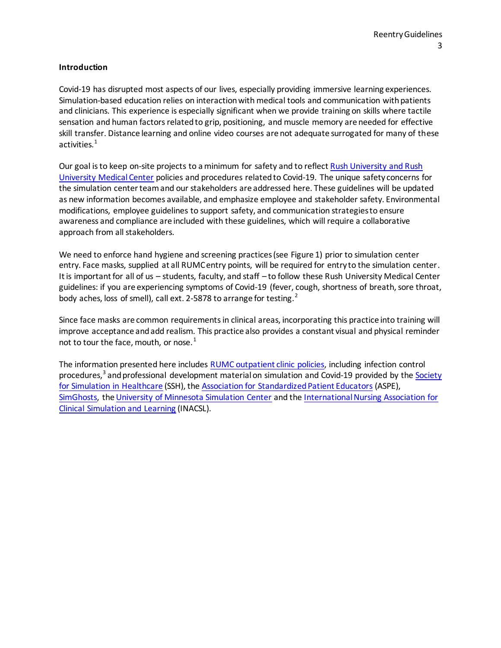#### **Introduction**

Covid-19 has disrupted most aspects of our lives, especially providing immersive learning experiences. Simulation-based education relies on interaction with medical tools and communication with patients and clinicians. This experience is especially significant when we provide training on skills where tactile sensation and human factors related to grip, positioning, and muscle memory are needed for effective skill transfer. Distance learning and online video courses are not adequate surrogated for many of these activities.<sup>1</sup>

Our goal is to keep on-site projects to a minimum for safety and to reflec[t Rush University and Rush](https://www.rushu.rush.edu/about/novel-coronavirus-covid-19-information)  [University Medical Center](https://www.rushu.rush.edu/about/novel-coronavirus-covid-19-information) policies and procedures related to Covid-19. The unique safety concerns for the simulation center team and our stakeholders are addressed here. These guidelines will be updated as new information becomes available, and emphasize employee and stakeholder safety. Environmental modifications, employee guidelines to support safety, and communication strategies to ensure awareness and compliance are included with these guidelines, which will require a collaborative approach from all stakeholders.

We need to enforce hand hygiene and screening practices (see Figure 1) prior to simulation center entry. Face masks, supplied at all RUMC entry points, will be required for entry to the simulation center. It is important for all of us – students, faculty, and staff – to follow these Rush University Medical Center guidelines: if you are experiencing symptoms of Covid-19 (fever, cough, shortness of breath, sore throat, body aches, loss of smell), call ext. 2-5878 to arrange for testing.<sup>2</sup>

Since face masks are common requirements in clinical areas, incorporating this practice into training will improve acceptance and add realism. This practice also provides a constant visual and physical reminder not to tour the face, mouth, or nose. $<sup>1</sup>$ </sup>

The information presented here includes [RUMC outpatient clinic policies,](https://insiderush.rush.edu/rushsystem/covid19/PublishingImages/Pages/PageCards/RUMG/Clinic%20Reopening%20Guidebook_Final5.pdf) including infection control procedures,<sup>3</sup> and professional development material on simulation and Covid-19 provided by the Society [for Simulation in Healthcare](http://www.ssih.org/) (SSH), th[e Association for Standardized Patient Educators](https://www.aspeducators.org/webinars) (ASPE), [SimGhosts,](https://www.simghosts.org/sim/COVID-19_Resources.asp) th[e University of Minnesota Simulation Center](https://www.healthysimulation.com/wp-content/uploads/2020/06/M-Simulation_Flexible-Operations-Plan_5_27_20.pdf) and th[e International Nursing Association for](https://www.inacsl.org/COVID-19-update/resource-list/)  [Clinical Simulation and Learning](https://www.inacsl.org/COVID-19-update/resource-list/) (INACSL).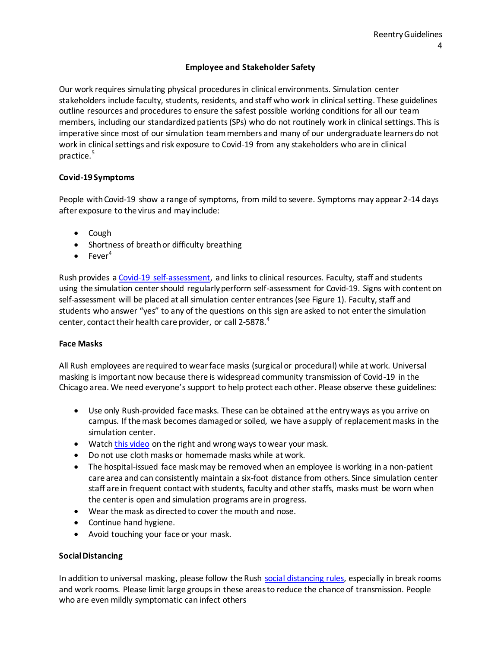# **Employee and Stakeholder Safety**

Our work requires simulating physical procedures in clinical environments. Simulation center stakeholders include faculty, students, residents, and staff who work in clinical setting. These guidelines outline resources and procedures to ensure the safest possible working conditions for all our team members, including our standardized patients (SPs) who do not routinely work in clinical settings. This is imperative since most of our simulation team members and many of our undergraduate learners do not work in clinical settings and risk exposure to Covid-19 from any stakeholders who are in clinical practice.<sup>5</sup>

# **Covid-19 Symptoms**

People with Covid-19 show a range of symptoms, from mild to severe. Symptoms may appear 2-14 days after exposure to the virus and may include:

- Cough
- Shortness of breath or difficulty breathing
- $\bullet$  Fever<sup>4</sup>

Rush provides a [Covid-19 self-assessment,](https://rushedu-auvic.formstack.com/forms/screening_test) and links to clinical resources. Faculty, staff and students using the simulation center should regularly perform self-assessment for Covid-19. Signs with content on self-assessment will be placed at all simulation center entrances (see Figure 1). Faculty, staff and students who answer "yes" to any of the questions on this sign are asked to not enter the simulation center, contact their health care provider, or call 2-5878.<sup>4</sup>

#### **Face Masks**

All Rush employees are required to wear face masks (surgical or procedural) while at work. Universal masking is important now because there is widespread community transmission of Covid-19 in the Chicago area. We need everyone's support to help protect each other. Please observe these guidelines:

- Use only Rush-provided face masks. These can be obtained at the entry ways as you arrive on campus. If the mask becomes damaged or soiled, we have a supply of replacement masks in the simulation center.
- Watc[h this video](https://www.youtube.com/watch?v=7yaHNuTWNZU&feature=youtu.be) on the right and wrong ways to wear your mask.
- Do not use cloth masks or homemade masks while at work.
- The hospital-issued face mask may be removed when an employee is working in a non-patient care area and can consistently maintain a six-foot distance from others. Since simulation center staff are in frequent contact with students, faculty and other staffs, masks must be worn when the center is open and simulation programs are in progress.
- Wear the mask as directed to cover the mouth and nose.
- Continue hand hygiene.
- Avoid touching your face or your mask.

#### **Social Distancing**

In addition to universal masking, please follow the Rush [social distancing rules,](https://insiderush.rush.edu/news/Documents/Coronavirus%20Updates/StaySafeOnBreak8.5x11.pdf) especially in break rooms and work rooms. Please limit large groups in these areas to reduce the chance of transmission. People who are even mildly symptomatic can infect others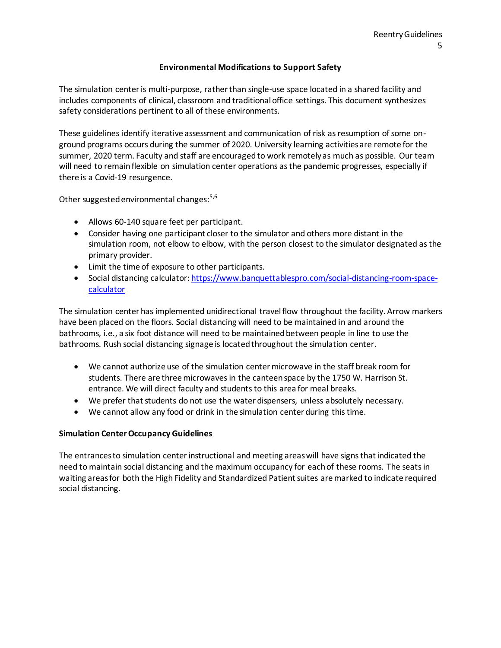#### **Environmental Modifications to Support Safety**

The simulation center is multi-purpose, rather than single-use space located in a shared facility and includes components of clinical, classroom and traditional office settings. This document synthesizes safety considerations pertinent to all of these environments.

These guidelines identify iterative assessment and communication of risk as resumption of some onground programs occurs during the summer of 2020. University learning activities are remote for the summer, 2020 term. Faculty and staff are encouraged to work remotely as much as possible. Our team will need to remain flexible on simulation center operations as the pandemic progresses, especially if there is a Covid-19 resurgence.

Other suggested environmental changes:<sup>5,6</sup>

- Allows 60-140 square feet per participant.
- Consider having one participant closer to the simulator and others more distant in the simulation room, not elbow to elbow, with the person closest to the simulator designated as the primary provider.
- Limit the time of exposure to other participants.
- Social distancing calculator[: https://www.banquettablespro.com/social-distancing-room-space](https://www.banquettablespro.com/social-distancing-room-space-calculator)[calculator](https://www.banquettablespro.com/social-distancing-room-space-calculator)

The simulation center has implemented unidirectional travel flow throughout the facility. Arrow markers have been placed on the floors. Social distancing will need to be maintained in and around the bathrooms, i.e., a six foot distance will need to be maintained between people in line to use the bathrooms. Rush social distancing signage is located throughout the simulation center.

- We cannot authorize use of the simulation center microwave in the staff break room for students. There are three microwaves in the canteen space by the 1750 W. Harrison St. entrance. We will direct faculty and students to this area for meal breaks.
- We prefer that students do not use the water dispensers, unless absolutely necessary.
- We cannot allow any food or drink in the simulation center during this time.

#### **Simulation Center Occupancy Guidelines**

The entrances to simulation center instructional and meeting areas will have signs that indicated the need to maintain social distancing and the maximum occupancy for each of these rooms. The seats in waiting areas for both the High Fidelity and Standardized Patient suites are marked to indicate required social distancing.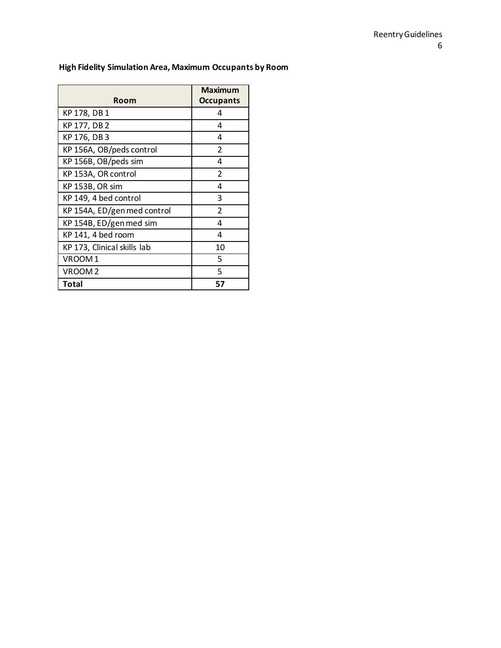# **High Fidelity Simulation Area, Maximum Occupants by Room**

| Room                        | <b>Maximum</b><br><b>Occupants</b> |
|-----------------------------|------------------------------------|
| KP 178, DB 1                | 4                                  |
| KP 177, DB 2                | 4                                  |
| KP 176, DB 3                | 4                                  |
| KP 156A, OB/peds control    | $\overline{2}$                     |
| KP 156B, OB/peds sim        | 4                                  |
| KP 153A, OR control         | $\overline{2}$                     |
| KP 153B, OR sim             | 4                                  |
| KP 149, 4 bed control       | 3                                  |
| KP 154A, ED/gen med control | $\overline{2}$                     |
| KP 154B, ED/gen med sim     | 4                                  |
| KP 141, 4 bed room          | 4                                  |
| KP 173, Clinical skills lab | 10                                 |
| VROOM1                      | 5                                  |
| VROOM <sub>2</sub>          | 5                                  |
| Total                       | 57                                 |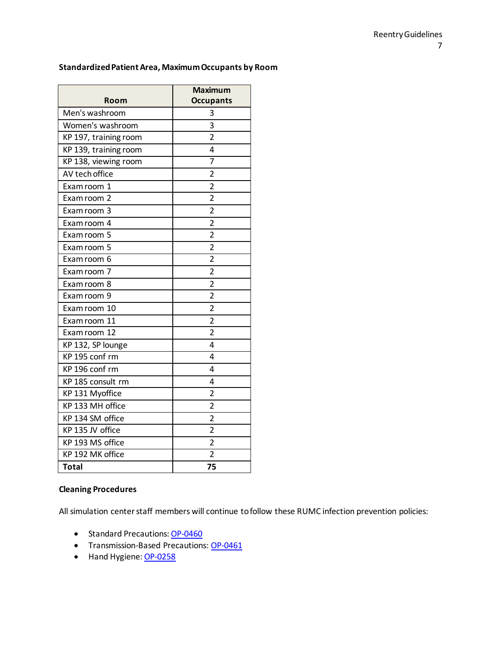#### **Standardized Patient Area, Maximum Occupants by Room**

| Room                  | <b>Maximum</b><br><b>Occupants</b> |
|-----------------------|------------------------------------|
| Men's washroom        | 3                                  |
| Women's washroom      | 3                                  |
| KP 197, training room | $\overline{2}$                     |
| KP 139, training room | 4                                  |
| KP 138, viewing room  | 7                                  |
| AV tech office        | $\overline{2}$                     |
| Exam room 1           | $\overline{2}$                     |
| Exam room 2           | $\overline{\mathbf{c}}$            |
| Exam room 3           | $\overline{2}$                     |
| Exam room 4           | $\overline{c}$                     |
| Exam room 5           | $\overline{2}$                     |
| Exam room 5           | $\overline{2}$                     |
| Exam room 6           | $\overline{2}$                     |
| Exam room 7           | $\overline{2}$                     |
| Exam room 8           | $\overline{2}$                     |
| Exam room 9           | $\overline{2}$                     |
| Exam room 10          | $\overline{2}$                     |
| Exam room 11          | $\overline{2}$                     |
| Exam room 12          | $\overline{2}$                     |
| KP 132, SP lounge     | 4                                  |
| KP 195 conf rm        | 4                                  |
| KP 196 conf rm        | 4                                  |
| KP 185 consult rm     | 4                                  |
| KP 131 Myoffice       | $\overline{2}$                     |
| KP 133 MH office      | $\overline{2}$                     |
| KP 134 SM office      | $\overline{2}$                     |
| KP 135 JV office      | $\overline{2}$                     |
| KP 193 MS office      | $\overline{2}$                     |
| KP 192 MK office      | $\overline{2}$                     |
| <b>Total</b>          | 75                                 |

# **Cleaning Procedures**

All simulation center staff members will continue to follow these RUMC infection prevention policies:

- Standard Precautions[: OP-0460](https://insiderush.rush.edu/policies/Pages/default.aspx)
- **•** Transmission-Based Precautions[: OP-0461](https://insiderush.rush.edu/policies/Pages/default.aspx)
- Hand Hygiene[: OP-0258](https://insiderush.rush.edu/policies/Pages/default.aspx)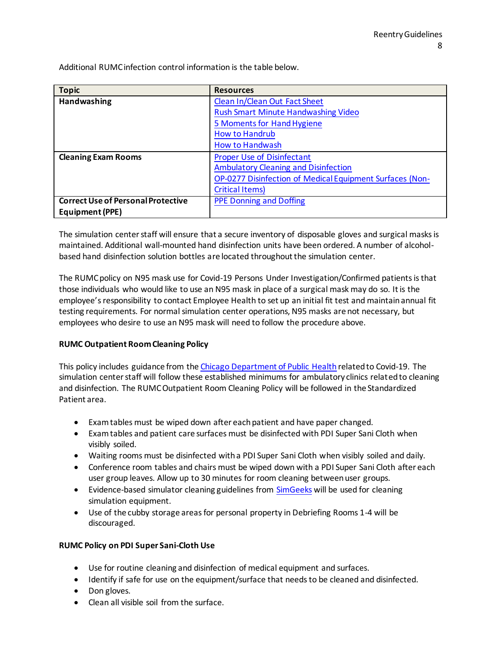Additional RUMC infection control information is the table below.

| <b>Topic</b>                              | <b>Resources</b>                                         |
|-------------------------------------------|----------------------------------------------------------|
| Handwashing                               | Clean In/Clean Out Fact Sheet                            |
|                                           | <b>Rush Smart Minute Handwashing Video</b>               |
|                                           | 5 Moments for Hand Hygiene                               |
|                                           | <b>How to Handrub</b>                                    |
|                                           | <b>How to Handwash</b>                                   |
| <b>Cleaning Exam Rooms</b>                | <b>Proper Use of Disinfectant</b>                        |
|                                           | <b>Ambulatory Cleaning and Disinfection</b>              |
|                                           | OP-0277 Disinfection of Medical Equipment Surfaces (Non- |
|                                           | <b>Critical Items)</b>                                   |
| <b>Correct Use of Personal Protective</b> | <b>PPE Donning and Doffing</b>                           |
| Equipment (PPE)                           |                                                          |

The simulation center staff will ensure that a secure inventory of disposable gloves and surgical masks is maintained. Additional wall-mounted hand disinfection units have been ordered. A number of alcoholbased hand disinfection solution bottles are located throughout the simulation center.

The RUMC policy on N95 mask use for Covid-19 Persons Under Investigation/Confirmed patients is that those individuals who would like to use an N95 mask in place of a surgical mask may do so. It is the employee's responsibility to contact Employee Health to set up an initial fit test and maintain annual fit testing requirements. For normal simulation center operations, N95 masks are not necessary, but employees who desire to use an N95 mask will need to follow the procedure above.

# **RUMC Outpatient Room Cleaning Policy**

This policy includes guidance from th[e Chicago Department of Public Health](https://insiderush.rush.edu/rushsystem/covid19/Documents/Clinical/Coronavirus_UpdatedHealthGde.pdf#search=Room%20Cleaning) related to Covid-19. The simulation center staff will follow these established minimums for ambulatory clinics related to cleaning and disinfection. The RUMC Outpatient Room Cleaning Policy will be followed in the Standardized Patient area.

- Exam tables must be wiped down after each patient and have paper changed.
- Exam tables and patient care surfaces must be disinfected with PDI Super Sani Cloth when visibly soiled.
- Waiting rooms must be disinfected with a PDI Super Sani Cloth when visibly soiled and daily.
- Conference room tables and chairs must be wiped down with a PDI Super Sani Cloth after each user group leaves. Allow up to 30 minutes for room cleaning between user groups.
- Evidence-based simulator cleaning guidelines from [SimGeeks](http://www.simgeekspodcast.com/) will be used for cleaning simulation equipment.
- Use of the cubby storage areas for personal property in Debriefing Rooms 1-4 will be discouraged.

# **RUMC Policy on PDI Super Sani-Cloth Use**

- Use for routine cleaning and disinfection of medical equipment and surfaces.
- Identify if safe for use on the equipment/surface that needs to be cleaned and disinfected.
- Don gloves.
- Clean all visible soil from the surface.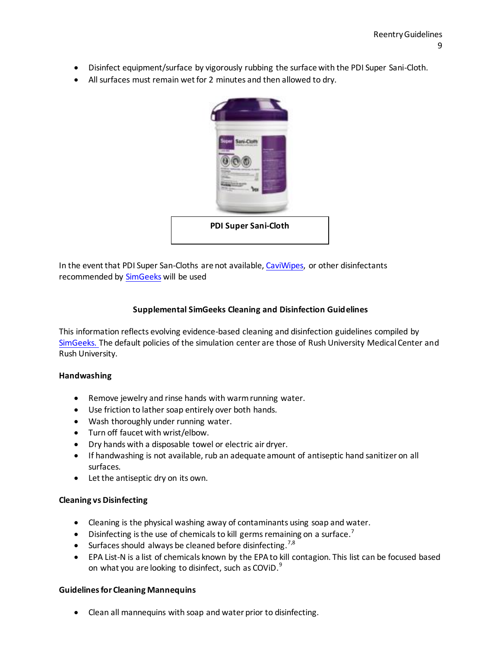- Disinfect equipment/surface by vigorously rubbing the surface with the PDI Super Sani-Cloth.
- All surfaces must remain wet for 2 minutes and then allowed to dry.



In the event that PDI Super San-Cloths are not available, [CaviWipes,](https://www.metrex.com/en-us/products/surface-disinfectants/caviwipes) or other disinfectants recommended by [SimGeeks](http://www.simgeekspodcast.com/) will be used

#### **Supplemental SimGeeks Cleaning and Disinfection Guidelines**

This information reflects evolving evidence-based cleaning and disinfection guidelines compiled by [SimGeeks.](http://www.simgeekspodcast.com/) The default policies of the simulation center are those of Rush University Medical Center and Rush University.

#### **Handwashing**

- Remove jewelry and rinse hands with warm running water.
- Use friction to lather soap entirely over both hands.
- Wash thoroughly under running water.
- Turn off faucet with wrist/elbow.
- Dry hands with a disposable towel or electric air dryer.
- If handwashing is not available, rub an adequate amount of antiseptic hand sanitizer on all surfaces.
- Let the antiseptic dry on its own.

#### **Cleaning vs Disinfecting**

- Cleaning is the physical washing away of contaminants using soap and water.
- Disinfecting is the use of chemicals to kill germs remaining on a surface.<sup>7</sup>
- Surfaces should always be cleaned before disinfecting.<sup>7,8</sup>
- EPA List-N is a list of chemicals known by the EPA to kill contagion. This list can be focused based on what you are looking to disinfect, such as COViD. $^{9}$

#### **Guidelines for Cleaning Mannequins**

Clean all mannequins with soap and water prior to disinfecting.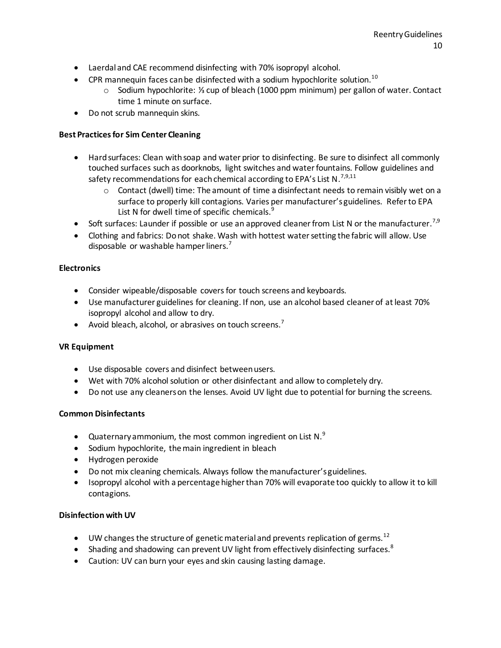- Laerdal and CAE recommend disinfecting with 70% isopropyl alcohol.
- CPR mannequin faces can be disinfected with a sodium hypochlorite solution.<sup>10</sup>
	- o Sodium hypochlorite: ⅓ cup of bleach (1000 ppm minimum) per gallon of water. Contact time 1 minute on surface.
- Do not scrub mannequin skins.

# **Best Practices for Sim Center Cleaning**

- Hard surfaces: Clean with soap and water prior to disinfecting. Be sure to disinfect all commonly touched surfaces such as doorknobs, light switches and water fountains. Follow guidelines and safety recommendations for each chemical according to EPA's List N.<sup>7,9,11</sup>
	- $\circ$  Contact (dwell) time: The amount of time a disinfectant needs to remain visibly wet on a surface to properly kill contagions. Varies per manufacturer's guidelines. Refer to EPA List N for dwell time of specific chemicals.<sup>9</sup>
- Soft surfaces: Launder if possible or use an approved cleaner from List N or the manufacturer.<sup>7,9</sup>
- Clothing and fabrics: Do not shake. Wash with hottest water setting the fabric will allow. Use disposable or washable hamper liners.<sup>7</sup>

# **Electronics**

- Consider wipeable/disposable covers for touch screens and keyboards.
- Use manufacturer guidelines for cleaning. If non, use an alcohol based cleaner of at least 70% isopropyl alcohol and allow to dry.
- Avoid bleach, alcohol, or abrasives on touch screens.<sup>7</sup>

# **VR Equipment**

- Use disposable covers and disinfect between users.
- Wet with 70% alcohol solution or other disinfectant and allow to completely dry.
- Do not use any cleaners on the lenses. Avoid UV light due to potential for burning the screens.

# **Common Disinfectants**

- Quaternary ammonium, the most common ingredient on List N. $^{9}$
- Sodium hypochlorite, the main ingredient in bleach
- Hydrogen peroxide
- Do not mix cleaning chemicals. Always follow the manufacturer's guidelines.
- Isopropyl alcohol with a percentage higher than 70% will evaporate too quickly to allow it to kill contagions.

#### **Disinfection with UV**

- $\bullet$  UW changes the structure of genetic material and prevents replication of germs.<sup>12</sup>
- Shading and shadowing can prevent UV light from effectively disinfecting surfaces.<sup>8</sup>
- Caution: UV can burn your eyes and skin causing lasting damage.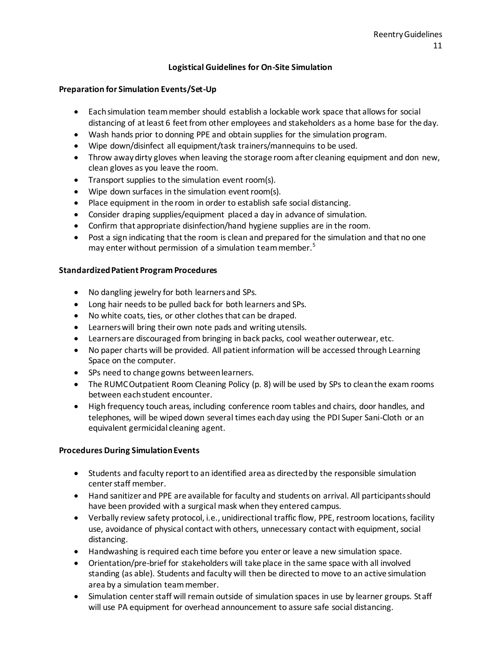#### **Logistical Guidelines for On-Site Simulation**

#### **Preparation for Simulation Events/Set-Up**

- Each simulation team member should establish a lockable work space that allows for social distancing of at least 6 feet from other employees and stakeholders as a home base for the day.
- Wash hands prior to donning PPE and obtain supplies for the simulation program.
- Wipe down/disinfect all equipment/task trainers/mannequins to be used.
- Throw away dirty gloves when leaving the storage room after cleaning equipment and don new, clean gloves as you leave the room.
- Transport supplies to the simulation event room(s).
- Wipe down surfaces in the simulation event room(s).
- Place equipment in the room in order to establish safe social distancing.
- Consider draping supplies/equipment placed a day in advance of simulation.
- Confirm that appropriate disinfection/hand hygiene supplies are in the room.
- Post a sign indicating that the room is clean and prepared for the simulation and that no one may enter without permission of a simulation team member.<sup>5</sup>

#### **Standardized Patient Program Procedures**

- No dangling jewelry for both learners and SPs.
- Long hair needs to be pulled back for both learners and SPs.
- No white coats, ties, or other clothes that can be draped.
- Learners will bring their own note pads and writing utensils.
- Learners are discouraged from bringing in back packs, cool weather outerwear, etc.
- No paper charts will be provided. All patient information will be accessed through Learning Space on the computer.
- SPs need to change gowns between learners.
- The RUMC Outpatient Room Cleaning Policy (p. 8) will be used by SPs to clean the exam rooms between each student encounter.
- High frequency touch areas, including conference room tables and chairs, door handles, and telephones, will be wiped down several times each day using the PDI Super Sani-Cloth or an equivalent germicidal cleaning agent.

#### **Procedures During Simulation Events**

- Students and faculty report to an identified area as directed by the responsible simulation center staff member.
- Hand sanitizer and PPE are available for faculty and students on arrival. All participants should have been provided with a surgical mask when they entered campus.
- Verbally review safety protocol, i.e., unidirectional traffic flow, PPE, restroom locations, facility use, avoidance of physical contact with others, unnecessary contact with equipment, social distancing.
- Handwashing is required each time before you enter or leave a new simulation space.
- Orientation/pre-brief for stakeholders will take place in the same space with all involved standing (as able). Students and faculty will then be directed to move to an active simulation area by a simulation team member.
- Simulation center staff will remain outside of simulation spaces in use by learner groups. Staff will use PA equipment for overhead announcement to assure safe social distancing.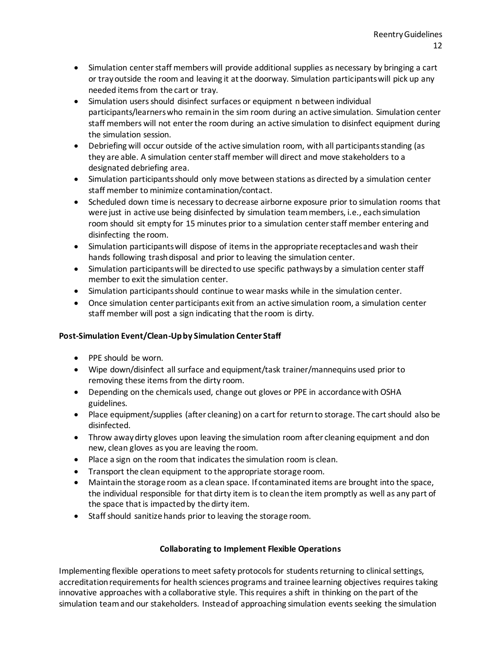- Simulation center staff members will provide additional supplies as necessary by bringing a cart or tray outside the room and leaving it at the doorway. Simulation participants will pick up any needed items from the cart or tray.
- Simulation users should disinfect surfaces or equipment n between individual participants/learners who remain in the sim room during an active simulation. Simulation center staff members will not enter the room during an active simulation to disinfect equipment during the simulation session.
- Debriefing will occur outside of the active simulation room, with all participants standing (as they are able. A simulation center staff member will direct and move stakeholders to a designated debriefing area.
- Simulation participants should only move between stations as directed by a simulation center staff member to minimize contamination/contact.
- Scheduled down time is necessary to decrease airborne exposure prior to simulation rooms that were just in active use being disinfected by simulation team members, i.e., each simulation room should sit empty for 15 minutes prior to a simulation center staff member entering and disinfecting the room.
- Simulation participants will dispose of items in the appropriate receptacles and wash their hands following trash disposal and prior to leaving the simulation center.
- Simulation participants will be directed to use specific pathways by a simulation center staff member to exit the simulation center.
- Simulation participants should continue to wear masks while in the simulation center.
- Once simulation center participants exit from an active simulation room, a simulation center staff member will post a sign indicating that the room is dirty.

# **Post-Simulation Event/Clean-Up by Simulation Center Staff**

- PPE should be worn.
- Wipe down/disinfect all surface and equipment/task trainer/mannequins used prior to removing these items from the dirty room.
- Depending on the chemicals used, change out gloves or PPE in accordance with OSHA guidelines.
- Place equipment/supplies (after cleaning) on a cart for return to storage. The cart should also be disinfected.
- Throw away dirty gloves upon leaving the simulation room after cleaning equipment and don new, clean gloves as you are leaving the room.
- Place a sign on the room that indicates the simulation room is clean.
- Transport the clean equipment to the appropriate storage room.
- Maintain the storage room as a clean space. If contaminated items are brought into the space, the individual responsible for that dirty item is to clean the item promptly as well as any part of the space that is impacted by the dirty item.
- Staff should sanitize hands prior to leaving the storage room.

# **Collaborating to Implement Flexible Operations**

Implementing flexible operations to meet safety protocols for students returning to clinical settings, accreditation requirements for health sciences programs and trainee learning objectives requires taking innovative approaches with a collaborative style. This requires a shift in thinking on the part of the simulation team and our stakeholders. Instead of approaching simulation events seeking the simulation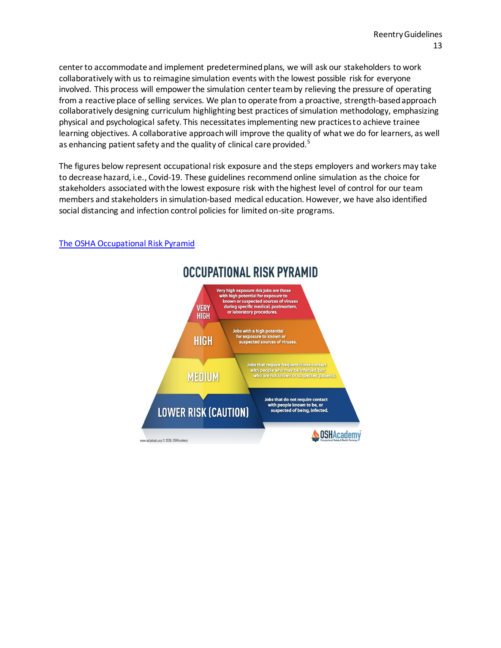center to accommodate and implement predetermined plans, we will ask our stakeholders to work collaboratively with us to reimagine simulation events with the lowest possible risk for everyone involved. This process will empower the simulation center team by relieving the pressure of operating from a reactive place of selling services. We plan to operate from a proactive, strength-based approach collaboratively designing curriculum highlighting best practices of simulation methodology, emphasizing physical and psychological safety. This necessitates implementing new practices to achieve trainee learning objectives. A collaborative approach will improve the quality of what we do for learners, as well as enhancing patient safety and the quality of clinical care provided.<sup>5</sup>

The figures below represent occupational risk exposure and the steps employers and workers may take to decrease hazard, i.e., Covid-19. These guidelines recommend online simulation as the choice for stakeholders associated with the lowest exposure risk with the highest level of control for our team members and stakeholders in simulation-based medical education. However, we have also identified social distancing and infection control policies for limited on-site programs.



# [The OSHA Occupational Risk Pyramid](https://www.oshatrain.org/courses/mods/638m3.html)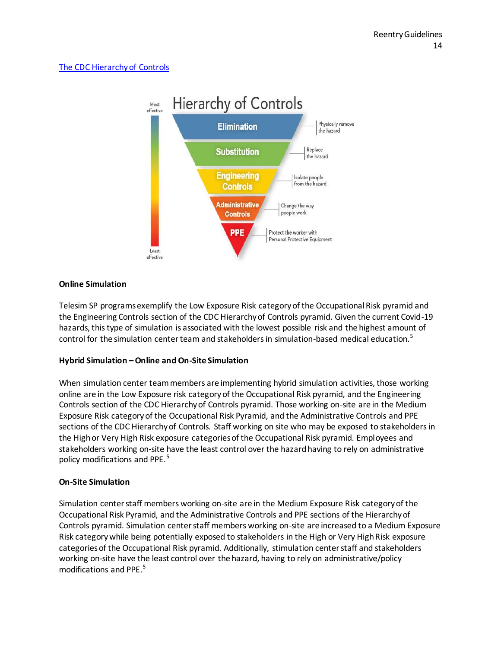# The CDC Hierarchy of Controls



#### **Online Simulation**

Telesim SP programs exemplify the Low Exposure Risk category of the Occupational Risk pyramid and the Engineering Controls section of the CDC Hierarchy of Controls pyramid. Given the current Covid-19 hazards, this type of simulation is associated with the lowest possible risk and the highest amount of control for the simulation center team and stakeholders in simulation-based medical education.<sup>5</sup>

#### **Hybrid Simulation –Online and On-Site Simulation**

When simulation center team members are implementing hybrid simulation activities, those working online are in the Low Exposure risk category of the Occupational Risk pyramid, and the Engineering Controls section of the CDC Hierarchy of Controls pyramid. Those working on-site are in the Medium Exposure Risk category of the Occupational Risk Pyramid, and the Administrative Controls and PPE sections of the CDC Hierarchy of Controls. Staff working on site who may be exposed to stakeholders in the High or Very High Risk exposure categories of the Occupational Risk pyramid. Employees and stakeholders working on-site have the least control over the hazard having to rely on administrative policy modifications and PPE.<sup>5</sup>

# **On-Site Simulation**

Simulation center staff members working on-site are in the Medium Exposure Risk category of the Occupational Risk Pyramid, and the Administrative Controls and PPE sections of the Hierarchy of Controls pyramid. Simulation center staff members working on-site are increased to a Medium Exposure Risk category while being potentially exposed to stakeholders in the High or Very High Risk exposure categories of the Occupational Risk pyramid. Additionally, stimulation center staff and stakeholders working on-site have the least control over the hazard, having to rely on administrative/policy modifications and PPE.<sup>5</sup>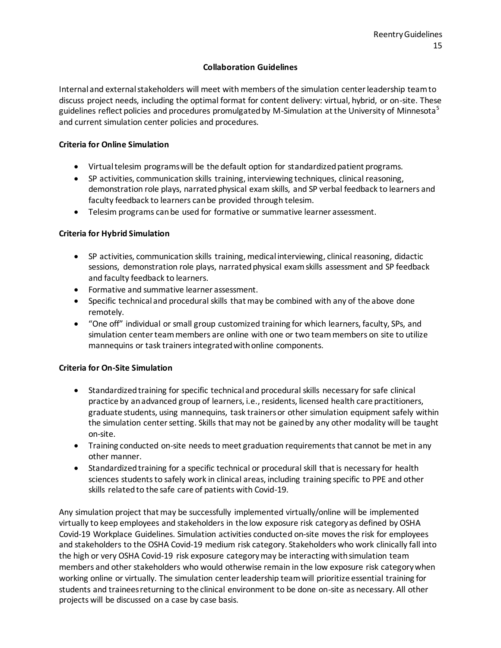#### **Collaboration Guidelines**

Internal and external stakeholders will meet with members of the simulation center leadership team to discuss project needs, including the optimal format for content delivery: virtual, hybrid, or on-site. These guidelines reflect policies and procedures promulgated by M-Simulation at the University of Minnesota<sup>5</sup> and current simulation center policies and procedures.

#### **Criteria for Online Simulation**

- Virtual telesim programs will be the default option for standardized patient programs.
- SP activities, communication skills training, interviewing techniques, clinical reasoning, demonstration role plays, narrated physical exam skills, and SP verbal feedback to learners and faculty feedback to learners can be provided through telesim.
- Telesim programs can be used for formative or summative learner assessment.

#### **Criteria for Hybrid Simulation**

- SP activities, communication skills training, medical interviewing, clinical reasoning, didactic sessions, demonstration role plays, narrated physical exam skills assessment and SP feedback and faculty feedback to learners.
- Formative and summative learner assessment.
- Specific technical and procedural skills that may be combined with any of the above done remotely.
- "One off" individual or small group customized training for which learners, faculty, SPs, and simulation center team members are online with one or two team members on site to utilize mannequins or task trainers integrated with online components.

#### **Criteria for On-Site Simulation**

- Standardized training for specific technical and procedural skills necessary for safe clinical practice by an advanced group of learners, i.e., residents, licensed health care practitioners, graduate students, using mannequins, task trainers or other simulation equipment safely within the simulation center setting. Skills that may not be gained by any other modality will be taught on-site.
- Training conducted on-site needs to meet graduation requirements that cannot be met in any other manner.
- Standardized training for a specific technical or procedural skill that is necessary for health sciences students to safely work in clinical areas, including training specific to PPE and other skills related to the safe care of patients with Covid-19.

Any simulation project that may be successfully implemented virtually/online will be implemented virtually to keep employees and stakeholders in the low exposure risk category as defined by OSHA Covid-19 Workplace Guidelines. Simulation activities conducted on-site moves the risk for employees and stakeholders to the OSHA Covid-19 medium risk category. Stakeholders who work clinically fall into the high or very OSHA Covid-19 risk exposure category may be interacting with simulation team members and other stakeholders who would otherwise remain in the low exposure risk category when working online or virtually. The simulation center leadership team will prioritize essential training for students and trainees returning to the clinical environment to be done on-site as necessary. All other projects will be discussed on a case by case basis.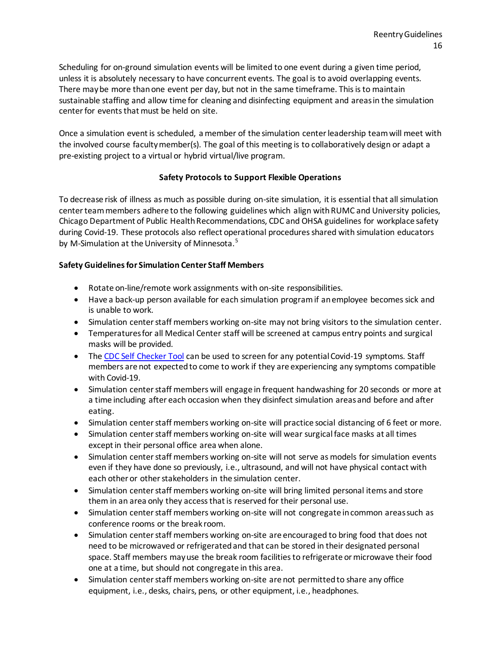Scheduling for on-ground simulation events will be limited to one event during a given time period, unless it is absolutely necessary to have concurrent events. The goal is to avoid overlapping events. There may be more than one event per day, but not in the same timeframe. This is to maintain sustainable staffing and allow time for cleaning and disinfecting equipment and areas in the simulation center for events that must be held on site.

Once a simulation event is scheduled, a member of the simulation center leadership team will meet with the involved course faculty member(s). The goal of this meeting is to collaboratively design or adapt a pre-existing project to a virtual or hybrid virtual/live program.

# **Safety Protocols to Support Flexible Operations**

To decrease risk of illness as much as possible during on-site simulation, it is essential that all simulation center team members adhere to the following guidelines which align with RUMC and University policies, Chicago Department of Public Health Recommendations, CDC and OHSA guidelines for workplace safety during Covid-19. These protocols also reflect operational procedures shared with simulation educators by M-Simulation at the University of Minnesota.<sup>5</sup>

#### **Safety Guidelines for Simulation Center Staff Members**

- Rotate on-line/remote work assignments with on-site responsibilities.
- Have a back-up person available for each simulation program if an employee becomes sick and is unable to work.
- Simulation center staff members working on-site may not bring visitors to the simulation center.
- Temperatures for all Medical Center staff will be screened at campus entry points and surgical masks will be provided.
- The [CDC Self Checker Tool](https://www.cdc.gov/coronavirus/2019-ncov/symptoms-testing/symptoms.html) can be used to screen for any potential Covid-19 symptoms. Staff members are not expected to come to work if they are experiencing any symptoms compatible with Covid-19.
- Simulation center staff members will engage in frequent handwashing for 20 seconds or more at a time including after each occasion when they disinfect simulation areas and before and after eating.
- Simulation center staff members working on-site will practice social distancing of 6 feet or more.
- Simulation center staff members working on-site will wear surgical face masks at all times except in their personal office area when alone.
- Simulation center staff members working on-site will not serve as models for simulation events even if they have done so previously, i.e., ultrasound, and will not have physical contact with each other or other stakeholders in the simulation center.
- Simulation center staff members working on-site will bring limited personal items and store them in an area only they access that is reserved for their personal use.
- Simulation center staff members working on-site will not congregate in common areas such as conference rooms or the break room.
- Simulation center staff members working on-site are encouraged to bring food that does not need to be microwaved or refrigerated and that can be stored in their designated personal space. Staff members may use the break room facilities to refrigerate or microwave their food one at a time, but should not congregate in this area.
- Simulation center staff members working on-site are not permitted to share any office equipment, i.e., desks, chairs, pens, or other equipment, i.e., headphones.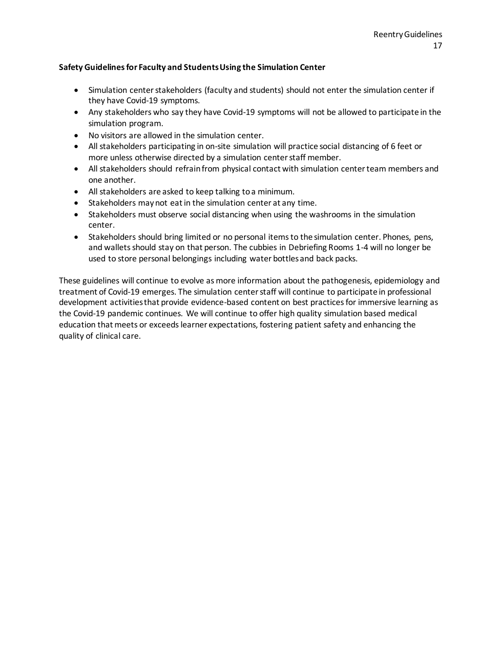#### **Safety Guidelines for Faculty and Students Using the Simulation Center**

- Simulation center stakeholders (faculty and students) should not enter the simulation center if they have Covid-19 symptoms.
- Any stakeholders who say they have Covid-19 symptoms will not be allowed to participate in the simulation program.
- No visitors are allowed in the simulation center.
- All stakeholders participating in on-site simulation will practice social distancing of 6 feet or more unless otherwise directed by a simulation center staff member.
- All stakeholders should refrain from physical contact with simulation center team members and one another.
- All stakeholders are asked to keep talking to a minimum.
- Stakeholders may not eat in the simulation center at any time.
- Stakeholders must observe social distancing when using the washrooms in the simulation center.
- Stakeholders should bring limited or no personal items to the simulation center. Phones, pens, and wallets should stay on that person. The cubbies in Debriefing Rooms 1-4 will no longer be used to store personal belongings including water bottles and back packs.

These guidelines will continue to evolve as more information about the pathogenesis, epidemiology and treatment of Covid-19 emerges. The simulation center staff will continue to participate in professional development activities that provide evidence-based content on best practices for immersive learning as the Covid-19 pandemic continues. We will continue to offer high quality simulation based medical education that meets or exceeds learner expectations, fostering patient safety and enhancing the quality of clinical care.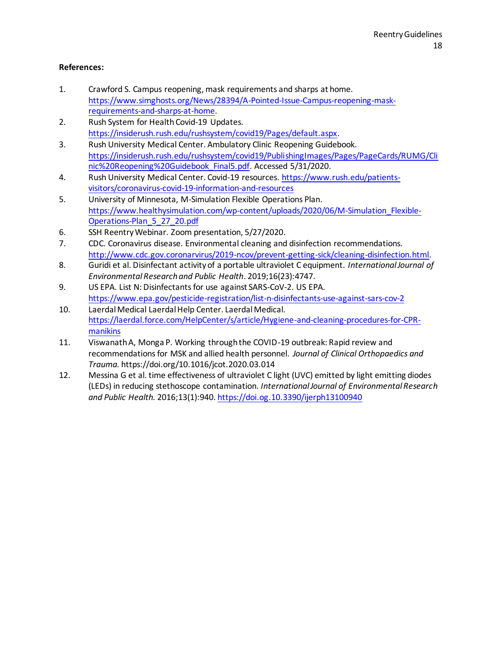# **References:**

- 1. Crawford S. Campus reopening, mask requirements and sharps at home. [https://www.simghosts.org/News/28394/A-Pointed-Issue-Campus-reopening-mask](https://www.simghosts.org/News/28394/A-Pointed-Issue-Campus-reopening-mask-requirements-and-sharps-at-home)[requirements-and-sharps-at-home.](https://www.simghosts.org/News/28394/A-Pointed-Issue-Campus-reopening-mask-requirements-and-sharps-at-home)
- 2. Rush System for Health Covid-19 Updates. [https://insiderush.rush.edu/rushsystem/covid19/Pages/default.aspx.](https://insiderush.rush.edu/rushsystem/covid19/Pages/default.aspx)
- 3. Rush University Medical Center. Ambulatory Clinic Reopening Guidebook. [https://insiderush.rush.edu/rushsystem/covid19/PublishingImages/Pages/PageCards/RUMG/Cli](https://insiderush.rush.edu/rushsystem/covid19/PublishingImages/Pages/PageCards/RUMG/Clinic%20Reopening%20Guidebook_Final5.pdf) [nic%20Reopening%20Guidebook\\_Final5.pdf.](https://insiderush.rush.edu/rushsystem/covid19/PublishingImages/Pages/PageCards/RUMG/Clinic%20Reopening%20Guidebook_Final5.pdf) Accessed 5/31/2020.
- 4. Rush University Medical Center. Covid-19 resources. [https://www.rush.edu/patients](https://www.rush.edu/patients-visitors/coronavirus-covid-19-information-and-resources)[visitors/coronavirus-covid-19-information-and-resources](https://www.rush.edu/patients-visitors/coronavirus-covid-19-information-and-resources)
- 5. University of Minnesota, M-Simulation Flexible Operations Plan. [https://www.healthysimulation.com/wp-content/uploads/2020/06/M-Simulation\\_Flexible-](https://www.healthysimulation.com/wp-content/uploads/2020/06/M-Simulation_Flexible-Operations-Plan_5_27_20.pdf)[Operations-Plan\\_5\\_27\\_20.pdf](https://www.healthysimulation.com/wp-content/uploads/2020/06/M-Simulation_Flexible-Operations-Plan_5_27_20.pdf)
- 6. SSH Reentry Webinar. Zoom presentation, 5/27/2020.
- 7. CDC. Coronavirus disease. Environmental cleaning and disinfection recommendations. [http://www.cdc.gov.coronarvirus/2019-ncov/prevent-getting-sick/cleaning-disinfection.html.](http://www.cdc.gov.coronarvirus/2019-ncov/prevent-getting-sick/cleaning-disinfection.html)
- 8. Guridi et al. Disinfectant activity of a portable ultraviolet C equipment. *International Journal of Environmental Research and Public Health*. 2019;16(23):4747.
- 9. US EPA. List N: Disinfectants for use against SARS-CoV-2. US EPA. <https://www.epa.gov/pesticide-registration/list-n-disinfectants-use-against-sars-cov-2>
- 10. Laerdal Medical Laerdal Help Center. Laerdal Medical. [https://laerdal.force.com/HelpCenter/s/article/Hygiene-and-cleaning-procedures-for-CPR](https://laerdal.force.com/HelpCenter/s/article/Hygiene-and-cleaning-procedures-for-CPR-manikins)[manikins](https://laerdal.force.com/HelpCenter/s/article/Hygiene-and-cleaning-procedures-for-CPR-manikins)
- 11. Viswanath A, Monga P. Working through the COVID-19 outbreak: Rapid review and recommendations for MSK and allied health personnel. *Journal of Clinical Orthopaedics and Trauma.* https://doi.org/10.1016/jcot.2020.03.014
- 12. Messina G et al. time effectiveness of ultraviolet C light (UVC) emitted by light emitting diodes (LEDs) in reducing stethoscope contamination. *International Journal of Environmental Research and Public Health.* 2016;13(1):940[. https://doi.og.10.3390/ijerph13100940](https://doi.og.10.3390/ijerph13100940)